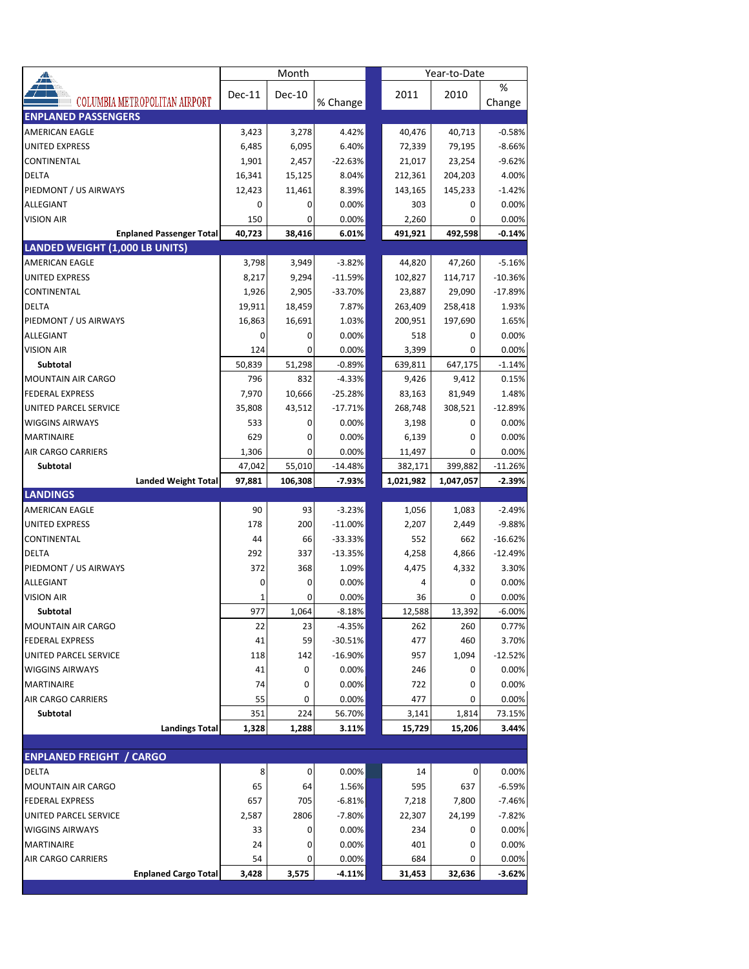| ◢                               |                                 |        | Month         |           | Year-to-Date |           |             |
|---------------------------------|---------------------------------|--------|---------------|-----------|--------------|-----------|-------------|
|                                 | COLUMBIA METROPOLITAN AIRPORT   | Dec-11 | <b>Dec-10</b> | % Change  | 2011         | 2010      | %<br>Change |
| <b>ENPLANED PASSENGERS</b>      |                                 |        |               |           |              |           |             |
| AMERICAN EAGLE                  |                                 | 3,423  | 3,278         | 4.42%     | 40,476       | 40,713    | $-0.58%$    |
| <b>UNITED EXPRESS</b>           |                                 | 6,485  | 6,095         | 6.40%     | 72,339       | 79,195    | $-8.66%$    |
| CONTINENTAL                     |                                 | 1,901  | 2,457         | $-22.63%$ | 21,017       | 23,254    | $-9.62%$    |
| <b>DELTA</b>                    |                                 | 16,341 | 15,125        | 8.04%     | 212,361      | 204,203   | 4.00%       |
| PIEDMONT / US AIRWAYS           |                                 | 12,423 | 11,461        | 8.39%     | 143,165      | 145,233   | $-1.42%$    |
| ALLEGIANT                       |                                 | 0      | 0             | 0.00%     | 303          | 0         | 0.00%       |
| <b>VISION AIR</b>               |                                 | 150    | 0             | 0.00%     | 2,260        | 0         | 0.00%       |
|                                 | <b>Enplaned Passenger Total</b> | 40,723 | 38,416        | 6.01%     | 491,921      | 492,598   | $-0.14%$    |
| LANDED WEIGHT (1,000 LB UNITS)  |                                 |        |               |           |              |           |             |
| <b>AMERICAN EAGLE</b>           |                                 | 3,798  | 3,949         | $-3.82%$  | 44,820       | 47,260    | $-5.16%$    |
| <b>UNITED EXPRESS</b>           |                                 | 8,217  | 9,294         | -11.59%   | 102,827      | 114,717   | $-10.36%$   |
| CONTINENTAL                     |                                 | 1,926  | 2,905         | -33.70%   | 23,887       | 29,090    | -17.89%     |
| <b>DELTA</b>                    |                                 | 19,911 | 18,459        | 7.87%     | 263,409      | 258,418   | 1.93%       |
| PIEDMONT / US AIRWAYS           |                                 | 16,863 | 16,691        | 1.03%     | 200,951      | 197,690   | 1.65%       |
| <b>ALLEGIANT</b>                |                                 | 0      | 0             | 0.00%     | 518          | 0         | 0.00%       |
| <b>VISION AIR</b>               |                                 | 124    | 0             | 0.00%     | 3,399        | 0         | 0.00%       |
| Subtotal                        |                                 | 50,839 | 51,298        | $-0.89%$  | 639,811      | 647,175   | $-1.14%$    |
| <b>MOUNTAIN AIR CARGO</b>       |                                 | 796    | 832           | $-4.33%$  | 9,426        | 9,412     | 0.15%       |
| <b>FEDERAL EXPRESS</b>          |                                 | 7,970  | 10,666        | -25.28%   | 83,163       | 81,949    | 1.48%       |
| UNITED PARCEL SERVICE           |                                 | 35,808 | 43,512        | $-17.71%$ | 268,748      | 308,521   | $-12.89%$   |
| <b>WIGGINS AIRWAYS</b>          |                                 | 533    | 0             | 0.00%     | 3,198        | 0         | 0.00%       |
| <b>MARTINAIRE</b>               |                                 | 629    | 0             | 0.00%     | 6,139        | 0         | 0.00%       |
| AIR CARGO CARRIERS              |                                 | 1,306  | 0             | 0.00%     | 11,497       | 0         | 0.00%       |
| Subtotal                        |                                 | 47,042 | 55,010        | $-14.48%$ | 382,171      | 399,882   | $-11.26%$   |
|                                 |                                 |        |               |           |              |           |             |
|                                 | <b>Landed Weight Total</b>      | 97,881 | 106,308       | $-7.93%$  | 1,021,982    | 1,047,057 | $-2.39%$    |
| <b>LANDINGS</b>                 |                                 |        |               |           |              |           |             |
| AMERICAN EAGLE                  |                                 | 90     | 93            | $-3.23%$  | 1,056        | 1,083     | $-2.49%$    |
| UNITED EXPRESS                  |                                 | 178    | 200           | $-11.00%$ | 2,207        | 2,449     | $-9.88%$    |
| CONTINENTAL                     |                                 | 44     | 66            | -33.33%   | 552          | 662       | $-16.62%$   |
| DELTA                           |                                 | 292    | 337           | $-13.35%$ | 4,258        | 4,866     | $-12.49%$   |
| PIEDMONT / US AIRWAYS           |                                 | 372    | 368           | 1.09%     | 4,475        | 4,332     | 3.30%       |
| ALLEGIANT                       |                                 | 0      | 0             | 0.00%     | 4            | 0         | 0.00%       |
| <b>VISION AIR</b>               |                                 |        | 0             | 0.00%     | 36           | 0         | 0.00%       |
| Subtotal                        |                                 | 977    | 1.064         | $-8.18%$  | 12.588       | 13.392    | $-6.00%$    |
| <b>MOUNTAIN AIR CARGO</b>       |                                 | 22     | 23            | -4.35%    | 262          | 260       | 0.77%       |
| <b>FEDERAL EXPRESS</b>          |                                 | 41     | 59            | $-30.51%$ | 477          | 460       | 3.70%       |
| UNITED PARCEL SERVICE           |                                 | 118    | 142           | $-16.90%$ | 957          | 1,094     | $-12.52%$   |
| <b>WIGGINS AIRWAYS</b>          |                                 | 41     | 0             | 0.00%     | 246          | 0         | 0.00%       |
| MARTINAIRE                      |                                 | 74     | 0             | 0.00%     | 722          | 0         | 0.00%       |
| <b>AIR CARGO CARRIERS</b>       |                                 | 55     | 0             | 0.00%     | 477          | 0         | 0.00%       |
| Subtotal                        |                                 | 351    | 224           | 56.70%    | 3,141        | 1,814     | 73.15%      |
|                                 | <b>Landings Total</b>           | 1,328  | 1,288         | 3.11%     | 15,729       | 15,206    | 3.44%       |
|                                 |                                 |        |               |           |              |           |             |
| <b>ENPLANED FREIGHT / CARGO</b> |                                 |        |               |           |              |           |             |
| <b>DELTA</b>                    |                                 | 8      | 0             | 0.00%     | 14           | 0         | 0.00%       |
| <b>MOUNTAIN AIR CARGO</b>       |                                 | 65     | 64            | 1.56%     | 595          | 637       | $-6.59%$    |
| <b>FEDERAL EXPRESS</b>          |                                 | 657    | 705           | $-6.81%$  | 7,218        | 7,800     | $-7.46%$    |
| UNITED PARCEL SERVICE           |                                 | 2,587  | 2806          | -7.80%    | 22,307       | 24,199    | $-7.82%$    |
| <b>WIGGINS AIRWAYS</b>          |                                 | 33     | 0             | 0.00%     | 234          | 0         | 0.00%       |
| MARTINAIRE                      |                                 | 24     | 0             | 0.00%     | 401          | 0         | 0.00%       |
| AIR CARGO CARRIERS              |                                 | 54     | 0             | 0.00%     | 684          | 0         | 0.00%       |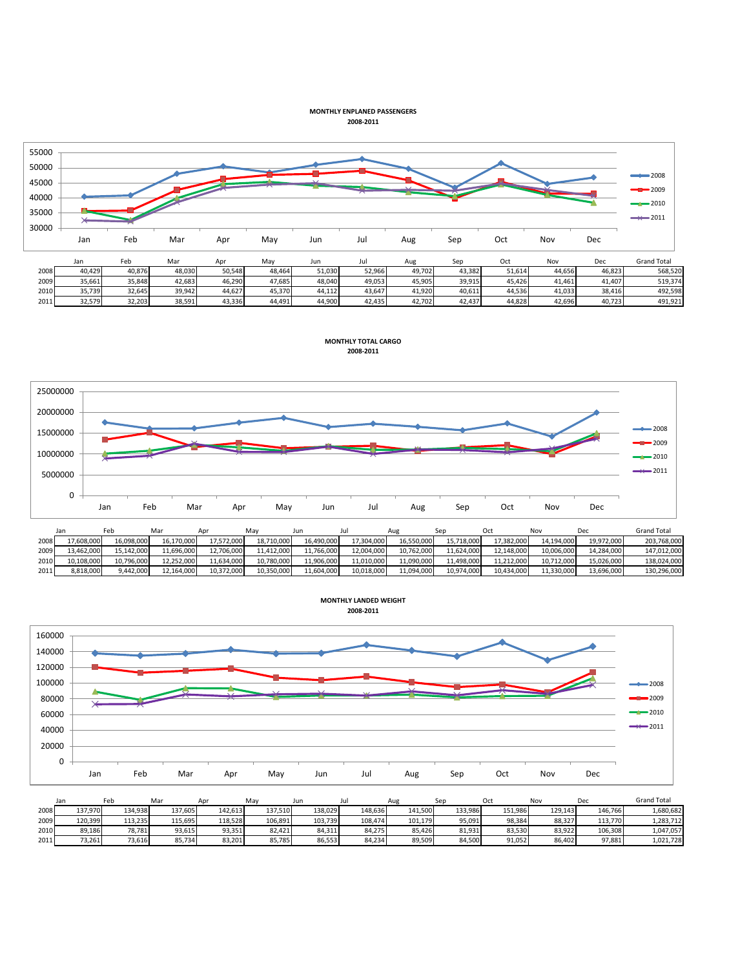## **MONTHLY ENPLANED PASSENGERS 2008-2011**



|      | <b>Jail</b> | Feb    | Mar    | Apr    | Mav    | Jur    | Jul    | Aug    | Sep    | Oct    | Nov    | Dec    | <b>Grand Total</b> |
|------|-------------|--------|--------|--------|--------|--------|--------|--------|--------|--------|--------|--------|--------------------|
| 2008 | 40,429      | 40.876 | 48,030 | 50,548 | 48.464 | 51,030 | 52,966 | 49,702 | 43.382 | 51,614 | 44,656 | 46,823 | 568,520            |
| 2009 | 35,661      | 35.848 | 42.683 | 46.290 | 47.685 | 48.040 | 49,053 | 45.905 | 39.915 | 45.426 | 41.461 | 41.407 | 519,374            |
| 2010 | 35,739      | 32,645 | 39,942 | 44,627 | 45,370 | 44,112 | 43,647 | 41.920 | 40,611 | 44,536 | 41,033 | 38,416 | 492,598            |
| 2011 | 32.579      | 32,203 | 38,591 | 43,336 | 44,491 | 44.900 | 42.435 | 42.702 | 42.437 | 44.828 | 42.696 | 40.723 | 491,921            |





|      | Jan        | Feb        | Mar        |            | Mav        | Jun        |            | Aug        |            | Oct        | No         | Dec        | <b>Grand Total</b> |
|------|------------|------------|------------|------------|------------|------------|------------|------------|------------|------------|------------|------------|--------------------|
| 2008 | 17.608.000 | 16.098.000 | 16.170.000 | 17.572.000 | 18.710.000 | 16.490.000 | 17.304.000 | 16.550.000 | 15.718.000 | 17.382.000 | 14.194.000 | 19.972.000 | 203.768.000        |
| 2009 | 13.462.000 | 15.142.000 | 11,696,000 | 12,706,000 | 11.412.000 | 11,766,000 | 12,004,000 | 10.762.000 | 11.624.000 | 12.148.000 | 10.006.000 | 14.284.000 | 147,012,000        |
| 2010 | 10.108.000 | 10.796.000 | 12.252.000 | 11.634.000 | 10.780.000 | 11.906.000 | 11.010.000 | 11.090.000 | 11.498.000 | 11.212.000 | 10.712.000 | 15.026.000 | 138,024,000        |
| 2011 | 8,818,000  | 9,442,000  | 12,164,000 | 10,372,000 | 10,350,000 | 11,604,000 | 10,018,000 | 11,094,000 | 10,974,000 | 10,434,000 | 11,330,000 | 13,696,000 | 130,296,000        |

**MONTHLY LANDED WEIGHT**



|      | Jan     | Feb     | Mar     | Apr     | Mav     | Jun     | JU.     | Aug     | Ser     | Oct     | No.     | Dec     | <b>Grand Tota</b> |
|------|---------|---------|---------|---------|---------|---------|---------|---------|---------|---------|---------|---------|-------------------|
| 2008 | 137.970 | 134,938 | 137.605 | 142,613 | 137.510 | 138,029 | 148,636 | 141.500 | 133.986 | 151.986 | 129.143 | 146,766 | 1,680,682         |
| 2009 | 120.399 | 113.235 | 115.695 | 118.528 | 106.891 | 103.739 | 108.474 | 101.179 | 95.091  | 98.384  | 88.327  | 113.770 | 1.283.712         |
| 2010 | 89.186  | 78,781  | 93,615  | 93,351  | 82.421  | 84,311  | 84.275  | 85.426  | 81,931  | 83,530  | 83,922  | 106.308 | 1,047,057         |
| 2011 | 73.261  | 73.616  | 85.734  | 83.201  | 85.785  | 86,553  | 84.234  | 89.509  | 84.500  | 91.052  | 86.402  | 97.881  | 1.021.728         |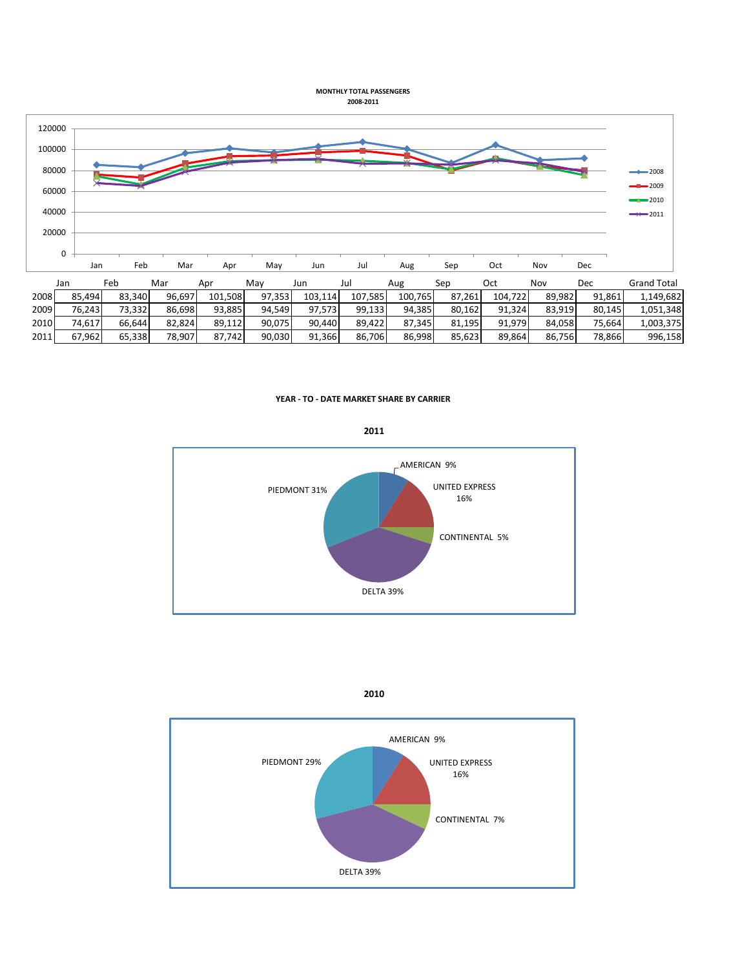**MONTHLY TOTAL PASSENGERS 2008-2011**



**YEAR - TO - DATE MARKET SHARE BY CARRIER**